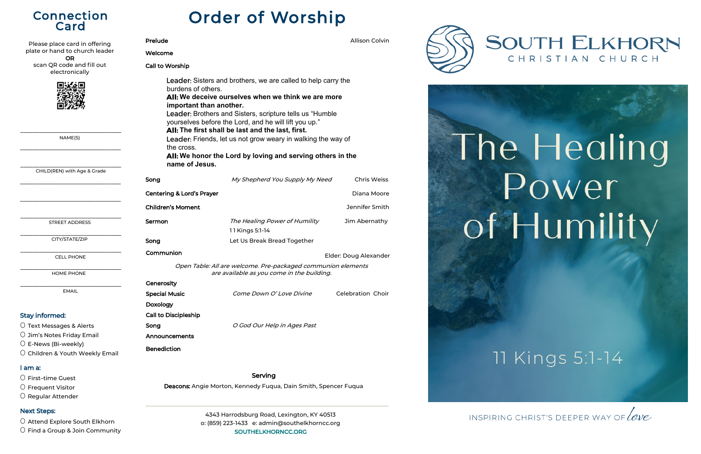О <sup>E</sup>-News (Bi-weekly)

О Children & Youth Weekly Email

#### I am a:

О First–time Guest

О Frequent Visitor

О Regular Attender

#### Next Steps:

О Attend Explore South Elkhorn

О Find a Group & Join Community

| Please place card in offering               | Prelude                                                                                                                                                                                                                                                                                     |                                                  | <b>Allison Colvin</b>    |  |
|---------------------------------------------|---------------------------------------------------------------------------------------------------------------------------------------------------------------------------------------------------------------------------------------------------------------------------------------------|--------------------------------------------------|--------------------------|--|
| plate or hand to church leader<br><b>OR</b> | Welcome                                                                                                                                                                                                                                                                                     |                                                  |                          |  |
| scan QR code and fill out<br>electronically | <b>Call to Worship</b>                                                                                                                                                                                                                                                                      |                                                  |                          |  |
|                                             | Leader: Sisters and brothers, we are called to help carry the<br>burdens of others.<br>All: We deceive ourselves when we think we are more<br>important than another.<br>Leader: Brothers and Sisters, scripture tells us "Humble"<br>yourselves before the Lord, and he will lift you up." |                                                  |                          |  |
| NAME(S)                                     | All: The first shall be last and the last, first.<br>Leader: Friends, let us not grow weary in walking the way of<br>the cross.<br>All: We honor the Lord by loving and serving others in the                                                                                               |                                                  |                          |  |
| CHILD(REN) with Age & Grade                 | name of Jesus.                                                                                                                                                                                                                                                                              |                                                  |                          |  |
|                                             | Song                                                                                                                                                                                                                                                                                        | My Shepherd You Supply My Need                   | <b>Chris Weiss</b>       |  |
|                                             | <b>Centering &amp; Lord's Prayer</b>                                                                                                                                                                                                                                                        |                                                  | Diana Moore              |  |
|                                             | <b>Children's Moment</b>                                                                                                                                                                                                                                                                    |                                                  | Jennifer Smith           |  |
| <b>STREET ADDRESS</b>                       | Sermon                                                                                                                                                                                                                                                                                      | The Healing Power of Humility<br>11 Kings 5:1-14 | Jim Abernathy            |  |
| CITY/STATE/ZIP                              | Song                                                                                                                                                                                                                                                                                        | Let Us Break Bread Together                      |                          |  |
| <b>CELL PHONE</b>                           | Communion<br>Elder: Doug Alexander                                                                                                                                                                                                                                                          |                                                  |                          |  |
| HOME PHONE                                  | Open Table: All are welcome. Pre-packaged communion elements<br>are available as you come in the building.                                                                                                                                                                                  |                                                  |                          |  |
|                                             | Generosity                                                                                                                                                                                                                                                                                  |                                                  |                          |  |
| <b>EMAIL</b>                                | <b>Special Music</b>                                                                                                                                                                                                                                                                        | Come Down O'Love Divine                          | <b>Celebration Choir</b> |  |
|                                             | Doxology                                                                                                                                                                                                                                                                                    |                                                  |                          |  |
| <b>Stay informed:</b>                       | <b>Call to Discipleship</b>                                                                                                                                                                                                                                                                 |                                                  |                          |  |
| O Text Messages & Alerts                    | Song                                                                                                                                                                                                                                                                                        | O God Our Help in Ages Past                      |                          |  |
| O Jim's Notes Friday Email                  | Announcements                                                                                                                                                                                                                                                                               |                                                  |                          |  |

Announcements Benediction

# Connection Card

| Prelude                                                                       |                                                                                                                                                                                                                                                                                                                                                                                                                              | <b>Allison Colvin</b> |
|-------------------------------------------------------------------------------|------------------------------------------------------------------------------------------------------------------------------------------------------------------------------------------------------------------------------------------------------------------------------------------------------------------------------------------------------------------------------------------------------------------------------|-----------------------|
| Welcome                                                                       |                                                                                                                                                                                                                                                                                                                                                                                                                              |                       |
| Call to Worship                                                               |                                                                                                                                                                                                                                                                                                                                                                                                                              |                       |
| burdens of others.<br>important than another.<br>the cross.<br>name of Jesus. | Leader: Sisters and brothers, we are called to help carry the<br>All: We deceive ourselves when we think we are more<br>Leader: Brothers and Sisters, scripture tells us "Humble<br>yourselves before the Lord, and he will lift you up."<br>All: The first shall be last and the last, first.<br>Leader: Friends, let us not grow weary in walking the way of<br>All: We honor the Lord by loving and serving others in the |                       |
| Song                                                                          | My Shepherd You Supply My Need                                                                                                                                                                                                                                                                                                                                                                                               | <b>Chris Weiss</b>    |
| <b>Centering &amp; Lord's Prayer</b>                                          |                                                                                                                                                                                                                                                                                                                                                                                                                              | Diana Moore           |
| <b>Children's Moment</b>                                                      |                                                                                                                                                                                                                                                                                                                                                                                                                              | Jennifer Smith        |
| Sermon                                                                        | The Healing Power of Humility<br>11 Kings 5:1-14                                                                                                                                                                                                                                                                                                                                                                             | Jim Abernathy         |
| Song                                                                          | Let Us Break Bread Together                                                                                                                                                                                                                                                                                                                                                                                                  |                       |
| Communion                                                                     |                                                                                                                                                                                                                                                                                                                                                                                                                              | Elder: Doug Alexander |
|                                                                               | Open Table: All are welcome. Pre-packaged communion elements                                                                                                                                                                                                                                                                                                                                                                 |                       |

Serving

Deacons: Angie Morton, Kennedy Fuqua, Dain Smith, Spencer Fuqua

4343 Harrodsburg Road, Lexington, KY 40513 o: (859) 223-1433 e: admin@southelkhorncc.org SOUTHELKHORNCC.ORG







INSPIRING CHRIST'S DEEPER WAY OF LOVE

# **SOUTH ELKHORN** CHRISTIAN CHURCH

# The Healing Power of Humility

11 Kings 5:1-14

# Order of Worship